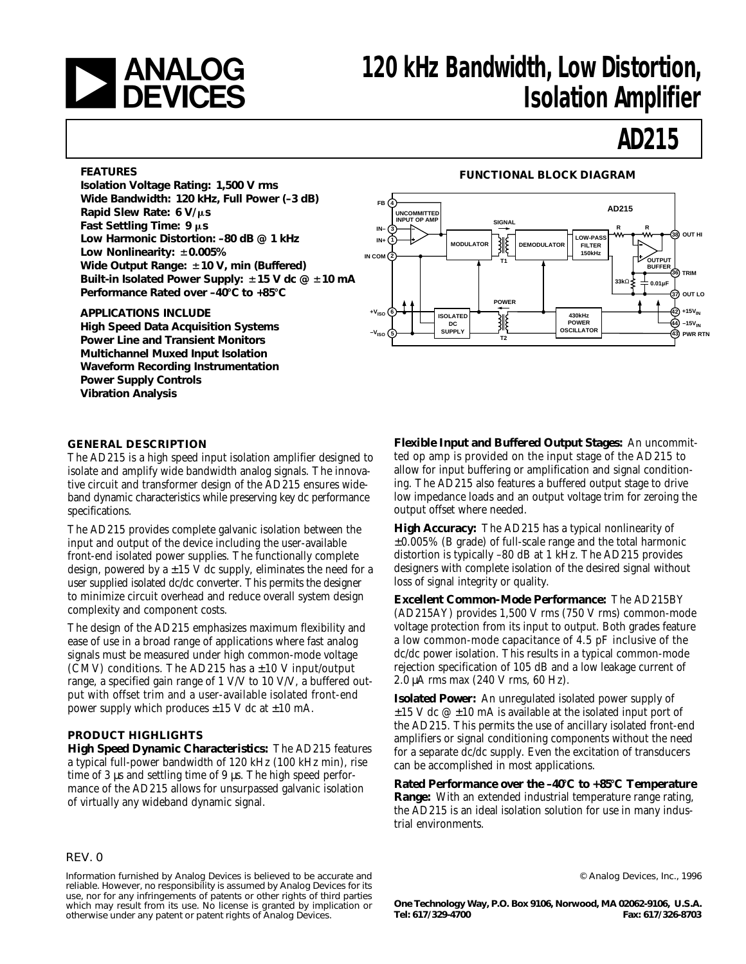

# **120 kHz Bandwidth, Low Distortion,<br>
DEVICES** 120 kHz Bandwidth, Low Distortion, **Isolation Amplifier**

# **AD215**

**Isolation Voltage Rating: 1,500 V rms Wide Bandwidth: 120 kHz, Full Power (–3 dB) Rapid Slew Rate: 6 V/µs Fast Settling Time: 9 μs Low Harmonic Distortion: –80 dB @ 1 kHz Low Nonlinearity:**  $\pm 0.005\%$ Wide Output Range:  $\pm$ 10 V, min (Buffered) Built-in Isolated Power Supply:  $\pm$ 15 V dc @  $\pm$ 10 mA Performance Rated over -40°C to +85°C

### **APPLICATIONS INCLUDE**

**High Speed Data Acquisition Systems Power Line and Transient Monitors Multichannel Muxed Input Isolation Waveform Recording Instrumentation Power Supply Controls Vibration Analysis**

# **FEATURES FUNCTIONAL BLOCK DIAGRAM**



### **GENERAL DESCRIPTION**

The AD215 is a high speed input isolation amplifier designed to isolate and amplify wide bandwidth analog signals. The innovative circuit and transformer design of the AD215 ensures wideband dynamic characteristics while preserving key dc performance specifications.

The AD215 provides complete galvanic isolation between the input and output of the device including the user-available front-end isolated power supplies. The functionally complete design, powered by  $a \pm 15$  V dc supply, eliminates the need for a user supplied isolated dc/dc converter. This permits the designer to minimize circuit overhead and reduce overall system design complexity and component costs.

The design of the AD215 emphasizes maximum flexibility and ease of use in a broad range of applications where fast analog signals must be measured under high common-mode voltage (CMV) conditions. The AD215 has  $a \pm 10$  V input/output range, a specified gain range of 1 V/V to 10 V/V, a buffered output with offset trim and a user-available isolated front-end power supply which produces  $\pm 15$  V dc at  $\pm 10$  mA.

### **PRODUCT HIGHLIGHTS**

**High Speed Dynamic Characteristics:** The AD215 features a typical full-power bandwidth of 120 kHz (100 kHz min), rise time of 3 µs and settling time of 9 µs. The high speed performance of the AD215 allows for unsurpassed galvanic isolation of virtually any wideband dynamic signal.

#### REV. 0

Information furnished by Analog Devices is believed to be accurate and reliable. However, no responsibility is assumed by Analog Devices for its use, nor for any infringements of patents or other rights of third parties which may result from its use. No license is granted by implication or otherwise under any patent or patent rights of Analog Devices.

**Flexible Input and Buffered Output Stages:** An uncommitted op amp is provided on the input stage of the AD215 to allow for input buffering or amplification and signal conditioning. The AD215 also features a buffered output stage to drive low impedance loads and an output voltage trim for zeroing the output offset where needed.

**High Accuracy:** The AD215 has a typical nonlinearity of ±0.005% (B grade) of full-scale range and the total harmonic distortion is typically –80 dB at 1 kHz. The AD215 provides designers with complete isolation of the desired signal without loss of signal integrity or quality.

**Excellent Common-Mode Performance:** The AD215BY (AD215AY) provides 1,500 V rms (750 V rms) common-mode voltage protection from its input to output. Both grades feature a low common-mode capacitance of 4.5 pF inclusive of the dc/dc power isolation. This results in a typical common-mode rejection specification of 105 dB and a low leakage current of 2.0 µA rms max (240 V rms, 60 Hz).

**Isolated Power:** An unregulated isolated power supply of  $\pm 15$  V dc  $\omega \pm 10$  mA is available at the isolated input port of the AD215. This permits the use of ancillary isolated front-end amplifiers or signal conditioning components without the need for a separate dc/dc supply. Even the excitation of transducers can be accomplished in most applications.

**Rated Performance over the –40**8**C to +85**8**C Temperature Range:** With an extended industrial temperature range rating, the AD215 is an ideal isolation solution for use in many industrial environments.

© Analog Devices, Inc., 1996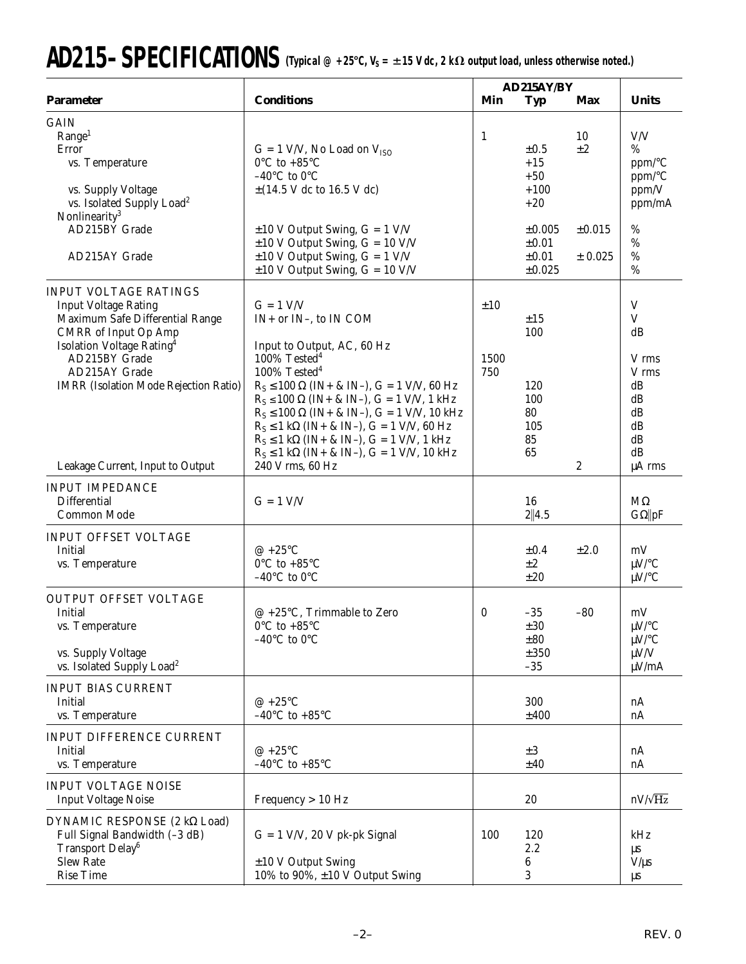# AD215-SPECIFICATIONS (Typical @ +25°C, V<sub>S</sub> = ±15 V dc, 2 kΩ output load, unless otherwise noted.)

|                                                                                                                                                                                                                                                                                              | AD215AY/BY                                                                                                                                                                                                                                                                                                                                                                                                                                                                   |                    |                                                               |                              |                                                                              |
|----------------------------------------------------------------------------------------------------------------------------------------------------------------------------------------------------------------------------------------------------------------------------------------------|------------------------------------------------------------------------------------------------------------------------------------------------------------------------------------------------------------------------------------------------------------------------------------------------------------------------------------------------------------------------------------------------------------------------------------------------------------------------------|--------------------|---------------------------------------------------------------|------------------------------|------------------------------------------------------------------------------|
| <b>Parameter</b>                                                                                                                                                                                                                                                                             | <b>Conditions</b>                                                                                                                                                                                                                                                                                                                                                                                                                                                            | Min                | Typ                                                           | Max                          | <b>Units</b>                                                                 |
| <b>GAIN</b><br>Range <sup>1</sup><br>Error<br>vs. Temperature<br>vs. Supply Voltage<br>vs. Isolated Supply Load <sup>2</sup><br>Nonlinearity <sup>3</sup><br>AD215BY Grade                                                                                                                   | $G = 1$ V/V, No Load on $V_{ISO}$<br>$0^{\circ}$ C to +85 $^{\circ}$ C<br>-40 $^{\circ}$ C to 0 $^{\circ}$ C<br>$\pm$ (14.5 V dc to 16.5 V dc)<br>$\pm 10$ V Output Swing, G = 1 V/V                                                                                                                                                                                                                                                                                         | $\mathbf{1}$       | $\pm 0.5$<br>$+15$<br>$+50$<br>$+100$<br>$+20$<br>$\pm 0.005$ | 10<br>$\pm 2$<br>$\pm 0.015$ | V/V<br>%<br>ppm/°C<br>ppm/°C<br>ppm/V<br>ppm/mA<br>$\%$                      |
| AD215AY Grade                                                                                                                                                                                                                                                                                | $\pm 10$ V Output Swing, G = 10 V/V<br>$\pm 10$ V Output Swing, G = 1 V/V<br>$\pm 10$ V Output Swing, G = 10 V/V                                                                                                                                                                                                                                                                                                                                                             |                    | $\pm 0.01$<br>$\pm 0.01$<br>$\pm 0.025$                       | ± 0.025                      | %<br>$\%$<br>$\%$                                                            |
| <b>INPUT VOLTAGE RATINGS</b><br><b>Input Voltage Rating</b><br>Maximum Safe Differential Range<br><b>CMRR</b> of Input Op Amp<br>Isolation Voltage Rating <sup>4</sup><br>AD215BY Grade<br>AD215AY Grade<br><b>IMRR</b> (Isolation Mode Rejection Ratio)<br>Leakage Current, Input to Output | $G = 1$ V/V<br>$IN+$ or $IN-$ , to $IN$ COM<br>Input to Output, AC, 60 Hz<br>100% Tested <sup>4</sup><br>$100\%$ Tested <sup>4</sup><br>$R_S \le 100 \Omega$ (IN+ & IN-), G = 1 V/V, 60 Hz<br>$R_S \le 100 \Omega$ (IN+ & IN-), G = 1 V/V, 1 kHz<br>$R_S \le 100 \Omega$ (IN+ & IN-), G = 1 V/V, 10 kHz<br>$R_S \le 1$ kΩ (IN+ & IN-), G = 1 V/V, 60 Hz<br>$R_S \le 1$ kΩ (IN+ & IN-), G = 1 V/V, 1 kHz<br>$R_S \le 1$ kΩ (IN+ & IN-), G = 1 V/V, 10 kHz<br>240 V rms, 60 Hz | ±10<br>1500<br>750 | ±15<br>100<br>120<br>100<br>80<br>105<br>85<br>65             | $\boldsymbol{2}$             | V<br>V<br>dB<br>V rms<br>V rms<br>dB<br>dB<br>dB<br>dB<br>dB<br>dB<br>μA rms |
| <b>INPUT IMPEDANCE</b><br><b>Differential</b><br><b>Common Mode</b>                                                                                                                                                                                                                          | $G = 1$ V/V                                                                                                                                                                                                                                                                                                                                                                                                                                                                  |                    | 16<br>2  4.5                                                  |                              | $M\Omega$<br>$G\Omega$   pF                                                  |
| <b>INPUT OFFSET VOLTAGE</b><br>Initial<br>vs. Temperature                                                                                                                                                                                                                                    | $@ + 25°C$<br>$0^{\circ}$ C to +85 $^{\circ}$ C<br>-40 $^{\circ}$ C to 0 $^{\circ}$ C                                                                                                                                                                                                                                                                                                                                                                                        |                    | $\pm 0.4$<br>$\pm 2$<br>±20                                   | ±2.0                         | mV<br>$\mu$ V/°C<br>$\mu$ V/°C                                               |
| <b>OUTPUT OFFSET VOLTAGE</b><br>Initial<br>vs. Temperature<br>vs. Supply Voltage<br>vs. Isolated Supply Load <sup>2</sup>                                                                                                                                                                    | $@ +25°C$ , Trimmable to Zero<br>$0^{\circ}$ C to +85 $^{\circ}$ C<br>-40 $\rm ^{\circ}C$ to 0 $\rm ^{\circ}C$                                                                                                                                                                                                                                                                                                                                                               | $\bf{0}$           | $-35$<br>±30<br>$\pm80$<br>±350<br>$-35$                      | $-80$                        | mV<br>$\mu$ V/°C<br>$\mu$ V/°C<br>$\mu V/V$<br>$\mu V$ /mA                   |
| <b>INPUT BIAS CURRENT</b><br>Initial<br>vs. Temperature                                                                                                                                                                                                                                      | @ $+25^{\circ}$ C<br>-40 $^{\circ}$ C to +85 $^{\circ}$ C                                                                                                                                                                                                                                                                                                                                                                                                                    |                    | 300<br>±400                                                   |                              | nA<br>nA                                                                     |
| INPUT DIFFERENCE CURRENT<br>Initial<br>vs. Temperature                                                                                                                                                                                                                                       | @ $+25^{\circ}$ C<br>-40 $^{\circ}$ C to +85 $^{\circ}$ C                                                                                                                                                                                                                                                                                                                                                                                                                    |                    | $\pm3$<br>±40                                                 |                              | nA<br>nA                                                                     |
| <b>INPUT VOLTAGE NOISE</b><br><b>Input Voltage Noise</b>                                                                                                                                                                                                                                     | Frequency > 10 Hz                                                                                                                                                                                                                                                                                                                                                                                                                                                            |                    | 20                                                            |                              | $nV/\sqrt{Hz}$                                                               |
| DYNAMIC RESPONSE (2 kΩ Load)<br>Full Signal Bandwidth (-3 dB)<br>Transport Delay <sup>6</sup><br><b>Slew Rate</b><br><b>Rise Time</b>                                                                                                                                                        | $G = 1$ V/V, 20 V pk-pk Signal<br>$\pm 10$ V Output Swing<br>10% to 90%, $\pm 10$ V Output Swing                                                                                                                                                                                                                                                                                                                                                                             | 100                | 120<br>2.2<br>6<br>3                                          |                              | kHz<br>μs<br>$V/\mu s$<br>μs                                                 |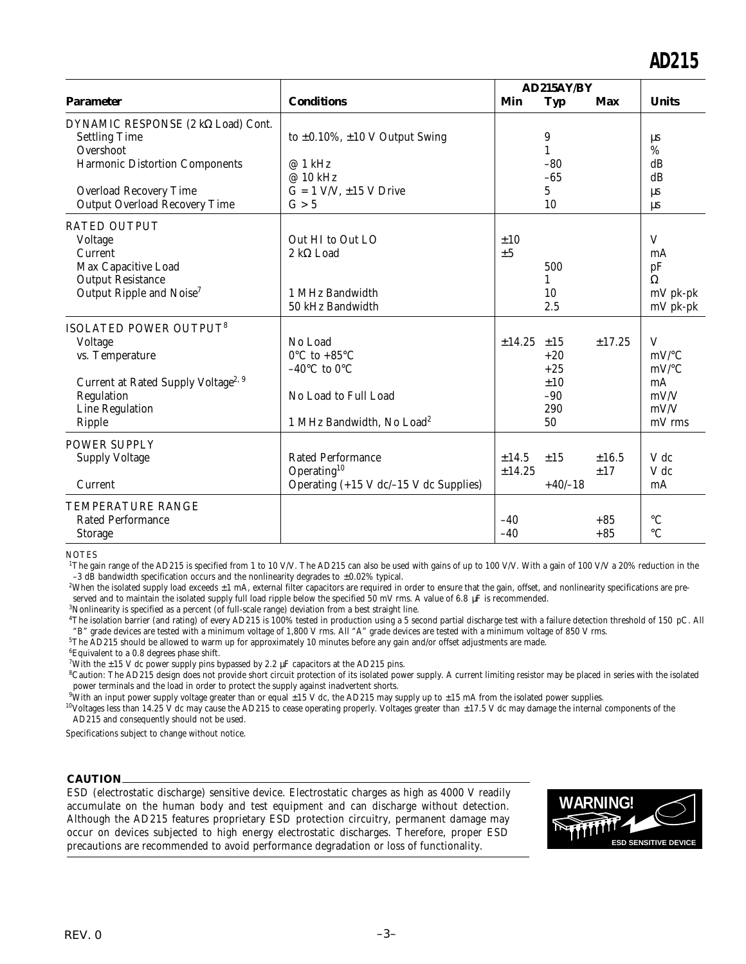|                                                                                                                                                                      |                                                                                                                                                   | AD215AY/BY      |                                                         |                |                                                                      |
|----------------------------------------------------------------------------------------------------------------------------------------------------------------------|---------------------------------------------------------------------------------------------------------------------------------------------------|-----------------|---------------------------------------------------------|----------------|----------------------------------------------------------------------|
| <b>Parameter</b>                                                                                                                                                     | <b>Conditions</b>                                                                                                                                 | Min             | <b>Typ</b>                                              | Max            | <b>Units</b>                                                         |
| DYNAMIC RESPONSE (2 kΩ Load) Cont.<br><b>Settling Time</b><br>Overshoot<br>Harmonic Distortion Components<br><b>Overload Recovery Time</b>                           | to $\pm 0.10\%$ , $\pm 10$ V Output Swing<br>@ 1 kHz<br>@ 10 kHz<br>$G = 1$ V/V, $\pm 15$ V Drive                                                 |                 | 9<br>$\mathbf{1}$<br>$-80$<br>$-65$<br>5                |                | $\mu s$<br>%<br>dB<br>dB<br><b>LLS</b>                               |
| <b>Output Overload Recovery Time</b>                                                                                                                                 | G > 5                                                                                                                                             |                 | 10                                                      |                | <b>LLS</b>                                                           |
| <b>RATED OUTPUT</b><br>Voltage<br>Current<br>Max Capacitive Load<br><b>Output Resistance</b><br>Output Ripple and Noise <sup>7</sup>                                 | Out HI to Out LO<br>$2 k\Omega$ Load<br>1 MHz Bandwidth<br>50 kHz Bandwidth                                                                       | ±10<br>±5       | 500<br>1<br>10<br>2.5                                   |                | V<br>mA<br>pF<br>$\Omega$<br>mV pk-pk<br>mV pk-pk                    |
| <b>ISOLATED POWER OUTPUT<sup>8</sup></b><br>Voltage<br>vs. Temperature<br>Current at Rated Supply Voltage <sup>2, 9</sup><br>Regulation<br>Line Regulation<br>Ripple | No Load<br>$0^{\circ}$ C to +85 $^{\circ}$ C<br>$-40^{\circ}$ C to $0^{\circ}$ C<br>No Load to Full Load<br>1 MHz Bandwidth, No Load <sup>2</sup> | ± 14.25         | $\pm 15$<br>$+20$<br>$+25$<br>±10<br>$-90$<br>290<br>50 | ±17.25         | V<br>$mV$ <sup>o</sup> C<br>$mV$ /°C<br>mA<br>mV/V<br>mV/V<br>mV rms |
| <b>POWER SUPPLY</b><br><b>Supply Voltage</b><br>Current                                                                                                              | <b>Rated Performance</b><br>Operating <sup>10</sup><br>Operating $(+15 \text{ V } dc/-15 \text{ V } dc$ Supplies)                                 | ±14.5<br>±14.25 | ±15<br>$+40/-18$                                        | ±16.5<br>±17   | V dc<br>V dc<br>mA                                                   |
| <b>TEMPERATURE RANGE</b><br><b>Rated Performance</b><br><b>Storage</b>                                                                                               |                                                                                                                                                   | $-40$<br>$-40$  |                                                         | $+85$<br>$+85$ | $\rm ^{\circ}C$<br>$\circ$ C                                         |

**NOTES** 

<sup>1</sup>The gain range of the AD215 is specified from 1 to 10 V/V. The AD215 can also be used with gains of up to 100 V/V. With a gain of 100 V/V a 20% reduction in the -3 dB bandwidth specification occurs and the nonlinearity degrades to  $\pm 0.02\%$  typical.

<sup>2</sup>When the isolated supply load exceeds  $\pm 1$  mA, external filter capacitors are required in order to ensure that the gain, offset, and nonlinearity specifications are preserved and to maintain the isolated supply full load ripple below the specified 50 mV rms. A value of 6.8 µF is recommended.

<sup>3</sup> Nonlinearity is specified as a percent (of full-scale range) deviation from a best straight line.

<sup>4</sup>The isolation barrier (and rating) of every AD215 is 100% tested in production using a 5 second partial discharge test with a failure detection threshold of 150 pC. All "B" grade devices are tested with a minimum voltage of 1,800 V rms. All "A" grade devices are tested with a minimum voltage of 850 V rms.

<sup>5</sup>The AD215 should be allowed to warm up for approximately 10 minutes before any gain and/or offset adjustments are made.

 ${}^{6}$ Equivalent to a 0.8 degrees phase shift.

<sup>7</sup>With the  $\pm$  15 V dc power supply pins bypassed by 2.2  $\mu$ F capacitors at the AD215 pins.

<sup>8</sup>Caution: The AD215 design does not provide short circuit protection of its isolated power supply. A current limiting resistor may be placed in series with the isolated power terminals and the load in order to protect the supply against inadvertent shorts.

<sup>9</sup>With an input power supply voltage greater than or equal  $\pm 15$  V dc, the AD215 may supply up to  $\pm 15$  mA from the isolated power supplies.

 $10$ Voltages less than 14.25 V dc may cause the AD215 to cease operating properly. Voltages greater than  $\pm 17.5$  V dc may damage the internal components of the AD215 and consequently should not be used.

Specifications subject to change without notice.

#### **CAUTION**

ESD (electrostatic discharge) sensitive device. Electrostatic charges as high as 4000 V readily accumulate on the human body and test equipment and can discharge without detection. Although the AD215 features proprietary ESD protection circuitry, permanent damage may occur on devices subjected to high energy electrostatic discharges. Therefore, proper ESD precautions are recommended to avoid performance degradation or loss of functionality.

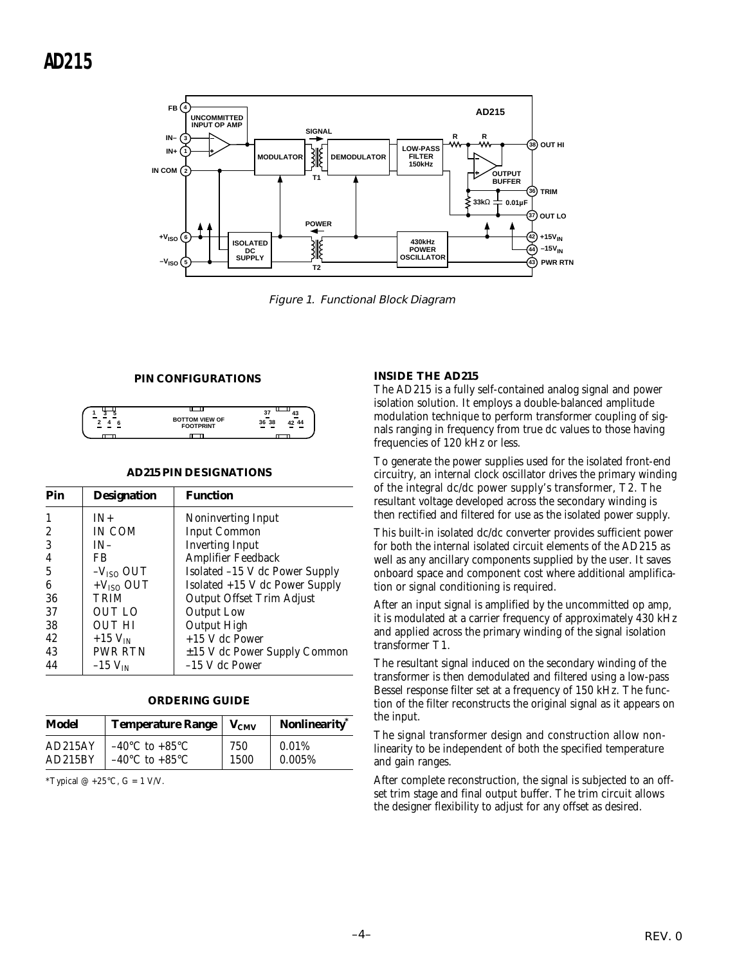

Figure 1. Functional Block Diagram

### **PIN CONFIGURATIONS**



### **AD215 PIN DESIGNATIONS**

| Pin              | <b>Designation</b>    | <b>Function</b>                   |
|------------------|-----------------------|-----------------------------------|
| 1                | $IN+$                 | Noninverting Input                |
| $\boldsymbol{2}$ | IN COM                | <b>Input Common</b>               |
| 3                | $IN-$                 | <b>Inverting Input</b>            |
| 4                | FB                    | Amplifier Feedback                |
| 5                | $-V_{ISO}$ OUT        | Isolated -15 V dc Power Supply    |
| 6                | $+VISO$ OUT           | Isolated +15 V dc Power Supply    |
| 36               | <b>TRIM</b>           | <b>Output Offset Trim Adjust</b>  |
| 37               | OUT LO                | <b>Output Low</b>                 |
| 38               | <b>OUT HI</b>         | Output High                       |
| 42               | $+15$ V <sub>IN</sub> | $+15$ V dc Power                  |
| 43               | PWR RTN               | $\pm 15$ V dc Power Supply Common |
| 44               | $-15$ $V_{IN}$        | $-15$ V dc Power                  |

#### **ORDERING GUIDE**

| Model   | <b>Temperature Range</b>           | $V_{CMV}$ | Nonlinearity <sup>*</sup> |
|---------|------------------------------------|-----------|---------------------------|
| AD215AY | $-40^{\circ}$ C to $+85^{\circ}$ C | 750       | 0.01%                     |
| AD215BY | $-40^{\circ}$ C to $+85^{\circ}$ C | 1500      | 0.005%                    |

\*Typical  $@ +25$ °C,  $G = 1$  V/V.

#### **INSIDE THE AD215**

The AD215 is a fully self-contained analog signal and power isolation solution. It employs a double-balanced amplitude modulation technique to perform transformer coupling of signals ranging in frequency from true dc values to those having frequencies of 120 kHz or less.

To generate the power supplies used for the isolated front-end circuitry, an internal clock oscillator drives the primary winding of the integral dc/dc power supply's transformer, T2. The resultant voltage developed across the secondary winding is then rectified and filtered for use as the isolated power supply.

This built-in isolated dc/dc converter provides sufficient power for both the internal isolated circuit elements of the AD215 as well as any ancillary components supplied by the user. It saves onboard space and component cost where additional amplification or signal conditioning is required.

After an input signal is amplified by the uncommitted op amp, it is modulated at a carrier frequency of approximately 430 kHz and applied across the primary winding of the signal isolation transformer T1.

The resultant signal induced on the secondary winding of the transformer is then demodulated and filtered using a low-pass Bessel response filter set at a frequency of 150 kHz. The function of the filter reconstructs the original signal as it appears on the input.

The signal transformer design and construction allow nonlinearity to be independent of both the specified temperature and gain ranges.

After complete reconstruction, the signal is subjected to an offset trim stage and final output buffer. The trim circuit allows the designer flexibility to adjust for any offset as desired.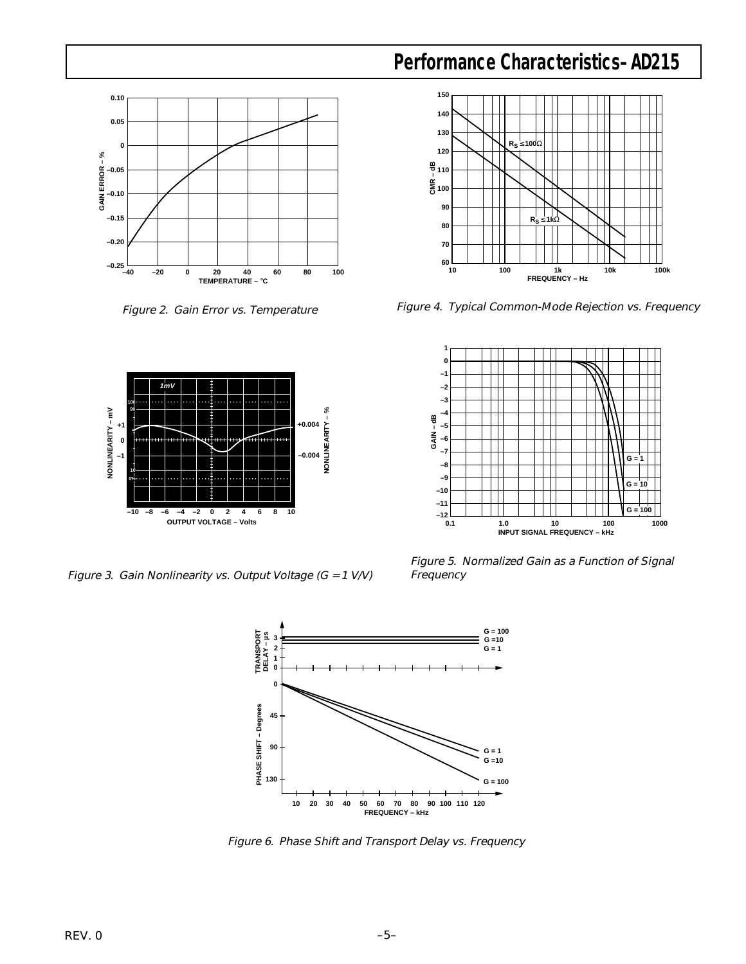

Figure 2. Gain Error vs. Temperature



Figure 3. Gain Nonlinearity vs. Output Voltage (G = 1 V/V)





Figure 4. Typical Common-Mode Rejection vs. Frequency



Figure 5. Normalized Gain as a Function of Signal Frequency



Figure 6. Phase Shift and Transport Delay vs. Frequency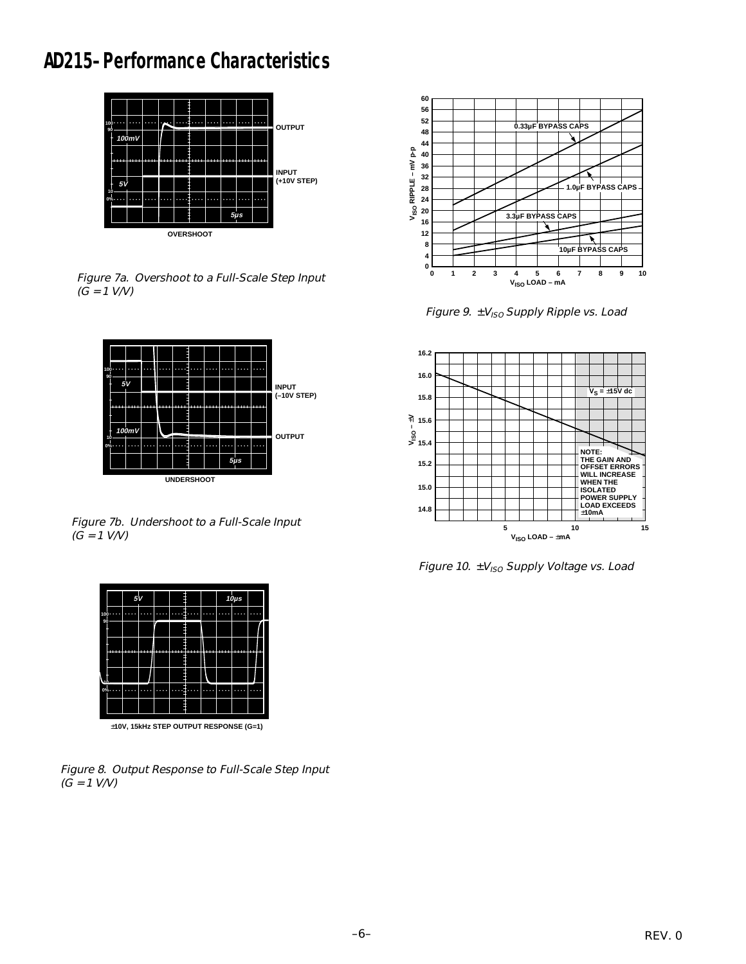# **AD215–Performance Characteristics**



Figure 7a. Overshoot to a Full-Scale Step Input  $(G = 1 \text{ V/V})$ 



Figure 7b. Undershoot to a Full-Scale Input  $(G = 1 \text{ V/V})$ 



±**10V, 15kHz STEP OUTPUT RESPONSE (G=1)**

Figure 8. Output Response to Full-Scale Step Input  $(G = 1 \text{ V/V})$ 



Figure 9.  $\pm V_{ISO}$  Supply Ripple vs. Load



Figure 10.  $\pm V_{ISO}$  Supply Voltage vs. Load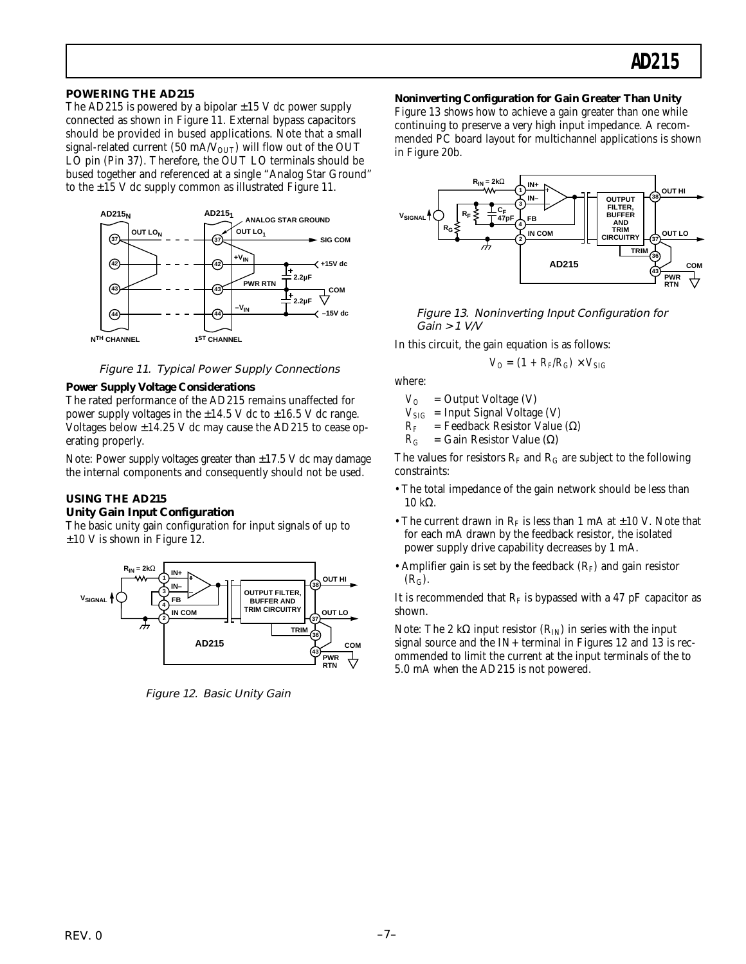### **POWERING THE AD215**

The AD215 is powered by a bipolar  $\pm 15$  V dc power supply connected as shown in Figure 11. External bypass capacitors should be provided in bused applications. Note that a small signal-related current (50 mA/ $V_{\text{OUT}}$ ) will flow out of the OUT LO pin (Pin 37). Therefore, the OUT LO terminals should be bused together and referenced at a single "Analog Star Ground" to the  $\pm 15$  V dc supply common as illustrated Figure 11.



Figure 11. Typical Power Supply Connections

### **Power Supply Voltage Considerations**

The rated performance of the AD215 remains unaffected for power supply voltages in the  $\pm 14.5$  V dc to  $\pm 16.5$  V dc range. Voltages below  $\pm 14.25$  V dc may cause the AD215 to cease operating properly.

Note: Power supply voltages greater than  $\pm 17.5$  V dc may damage the internal components and consequently should not be used.

### **USING THE AD215 Unity Gain Input Configuration**

The basic unity gain configuration for input signals of up to  $\pm 10$  V is shown in Figure 12.



Figure 12. Basic Unity Gain

### **Noninverting Configuration for Gain Greater Than Unity**

Figure 13 shows how to achieve a gain greater than one while continuing to preserve a very high input impedance. A recommended PC board layout for multichannel applications is shown in Figure 20b.



Figure 13. Noninverting Input Configuration for Gain > 1 V/V

In this circuit, the gain equation is as follows:

$$
V_O = (1 + R_F/R_G) \times V_{SIG}
$$

where:

- $V_O$  = Output Voltage (V)
- $V_{SIG}$  = Input Signal Voltage (V)
- $R_F$  = Feedback Resistor Value ( $\Omega$ )
- $R_G$  = Gain Resistor Value ( $\Omega$ )

The values for resistors  $R_F$  and  $R_G$  are subject to the following constraints:

- The total impedance of the gain network should be less than 10 kΩ.
- The current drawn in  $R_F$  is less than 1 mA at  $\pm 10$  V. Note that for each mA drawn by the feedback resistor, the isolated power supply drive capability decreases by 1 mA.
- Amplifier gain is set by the feedback  $(R_F)$  and gain resistor  $(R_G)$ .

It is recommended that  $R_F$  is bypassed with a 47 pF capacitor as shown.

Note: The 2 kΩ input resistor  $(R_{IN})$  in series with the input signal source and the IN+ terminal in Figures 12 and 13 is recommended to limit the current at the input terminals of the to 5.0 mA when the AD215 is not powered.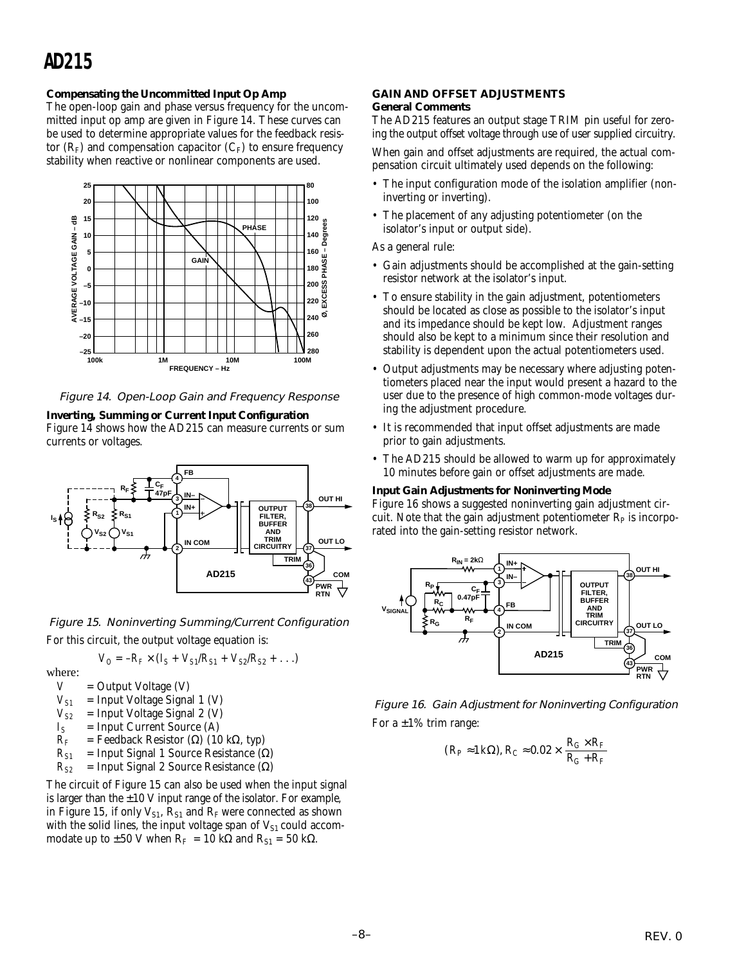# **AD215**

### **Compensating the Uncommitted Input Op Amp**

The open-loop gain and phase versus frequency for the uncommitted input op amp are given in Figure 14. These curves can be used to determine appropriate values for the feedback resistor  $(R_F)$  and compensation capacitor  $(C_F)$  to ensure frequency stability when reactive or nonlinear components are used.



Figure 14. Open-Loop Gain and Frequency Response

**Inverting, Summing or Current Input Configuration**

Figure 14 shows how the AD215 can measure currents or sum currents or voltages.



Figure 15. Noninverting Summing/Current Configuration For this circuit, the output voltage equation is:

$$
V_O = -R_F \times (I_S + V_{S1}/R_{S1} + V_{S2}/R_{S2} + \ldots)
$$

where:<br> $V$ 

- = Output Voltage (V)
- $V_{SI}$  = Input Voltage Signal 1 (V)
- $V_{S2}$  = Input Voltage Signal 2 (V)
- 
- $I_S$  = Input Current Source (A)<br> $R_F$  = Feedback Resistor ( $\Omega$ ) (10  $=$  Feedback Resistor (Ω) (10 kΩ, typ)
- $R_{SI}$  = Input Signal 1 Source Resistance ( $\Omega$ )
- $R_{S2}$  = Input Signal 2 Source Resistance ( $\Omega$ )

The circuit of Figure 15 can also be used when the input signal is larger than the  $\pm 10$  V input range of the isolator. For example, in Figure 15, if only  $V_{S1}$ ,  $R_{S1}$  and  $R_F$  were connected as shown with the solid lines, the input voltage span of  $V_{S1}$  could accommodate up to  $\pm 50$  V when R<sub>F</sub> = 10 kΩ and R<sub>S1</sub> = 50 kΩ.

### **GAIN AND OFFSET ADJUSTMENTS General Comments**

The AD215 features an output stage TRIM pin useful for zeroing the output offset voltage through use of user supplied circuitry.

When gain and offset adjustments are required, the actual compensation circuit ultimately used depends on the following:

- The input configuration mode of the isolation amplifier (noninverting or inverting).
- The placement of any adjusting potentiometer (on the isolator's input or output side).

As a general rule:

- Gain adjustments should be accomplished at the gain-setting resistor network at the isolator's input.
- To ensure stability in the gain adjustment, potentiometers should be located as close as possible to the isolator's input and its impedance should be kept low. Adjustment ranges should also be kept to a minimum since their resolution and stability is dependent upon the actual potentiometers used.
- Output adjustments may be necessary where adjusting potentiometers placed near the input would present a hazard to the user due to the presence of high common-mode voltages during the adjustment procedure.
- It is recommended that input offset adjustments are made prior to gain adjustments.
- The AD215 should be allowed to warm up for approximately 10 minutes before gain or offset adjustments are made.

### **Input Gain Adjustments for Noninverting Mode**

Figure 16 shows a suggested noninverting gain adjustment circuit. Note that the gain adjustment potentiometer  $R_p$  is incorporated into the gain-setting resistor network.



Figure 16. Gain Adjustment for Noninverting Configuration For a  $\pm 1\%$  trim range:

$$
(R_P \approx 1 \, k\Omega), R_C \approx 0.02 \times \frac{R_G \times R_F}{R_G + R_F}
$$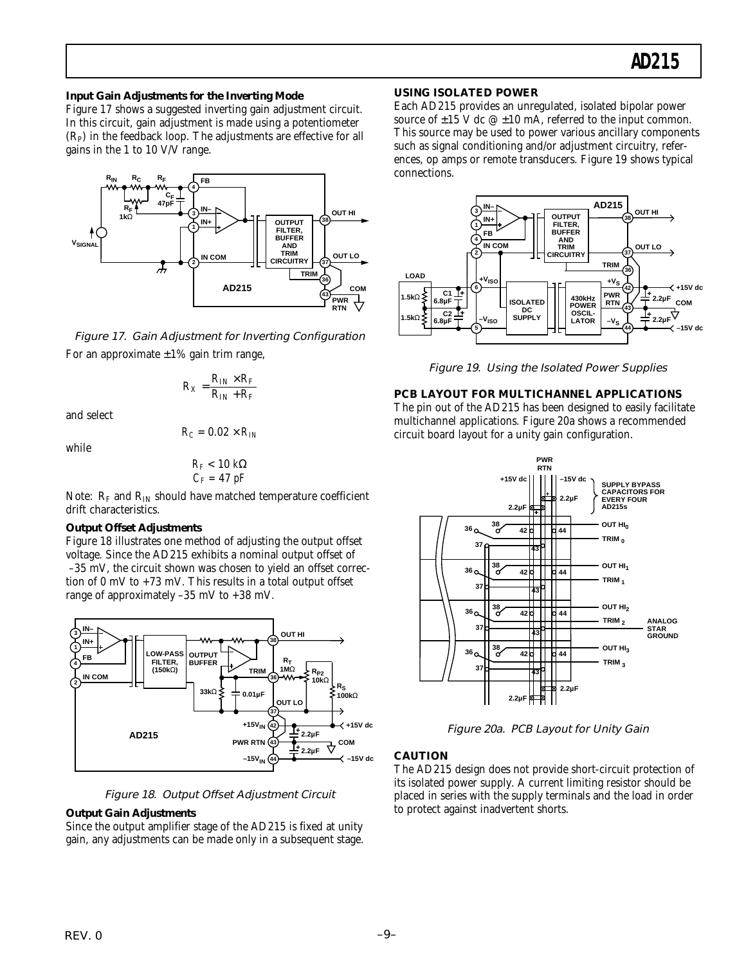### **Input Gain Adjustments for the Inverting Mode**

Figure 17 shows a suggested inverting gain adjustment circuit. In this circuit, gain adjustment is made using a potentiometer  $(R<sub>P</sub>)$  in the feedback loop. The adjustments are effective for all gains in the 1 to 10 V/V range.



Figure 17. Gain Adjustment for Inverting Configuration For an approximate  $\pm 1\%$  gain trim range,

$$
R_X = \frac{R_{IN} \times R_F}{R_{IN} + R_F}
$$

and select

$$
R_C = 0.02 \times R_{IN}
$$

while

$$
R_F < 10 \ k\Omega\\ C_F = 47 \ pF
$$

Note:  $R_F$  and  $R_{IN}$  should have matched temperature coefficient drift characteristics.

### **Output Offset Adjustments**

Figure 18 illustrates one method of adjusting the output offset voltage. Since the AD215 exhibits a nominal output offset of –35 mV, the circuit shown was chosen to yield an offset correction of 0 mV to +73 mV. This results in a total output offset range of approximately –35 mV to +38 mV.





### **Output Gain Adjustments**

Since the output amplifier stage of the AD215 is fixed at unity gain, any adjustments can be made only in a subsequent stage.

### **USING ISOLATED POWER**

Each AD215 provides an unregulated, isolated bipolar power source of  $\pm 15$  V dc  $\omega \pm 10$  mA, referred to the input common. This source may be used to power various ancillary components such as signal conditioning and/or adjustment circuitry, references, op amps or remote transducers. Figure 19 shows typical connections.



Figure 19. Using the Isolated Power Supplies

### **PCB LAYOUT FOR MULTICHANNEL APPLICATIONS**

The pin out of the AD215 has been designed to easily facilitate multichannel applications. Figure 20a shows a recommended circuit board layout for a unity gain configuration.



Figure 20a. PCB Layout for Unity Gain

### **CAUTION**

The AD215 design does not provide short-circuit protection of its isolated power supply. A current limiting resistor should be placed in series with the supply terminals and the load in order to protect against inadvertent shorts.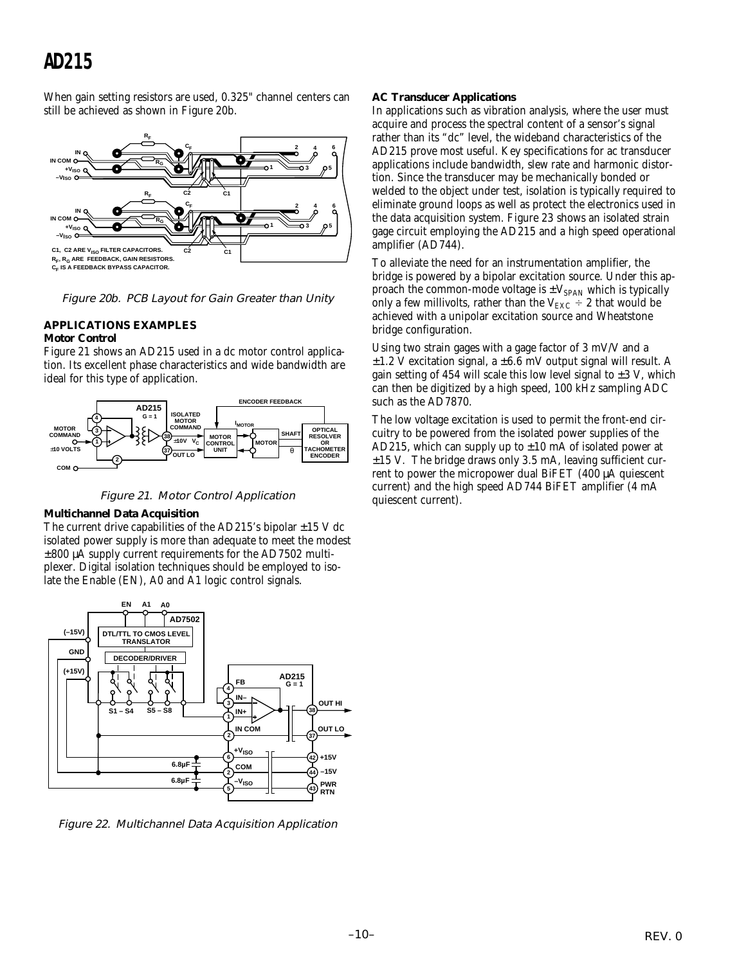# **AD215**

When gain setting resistors are used, 0.325" channel centers can still be achieved as shown in Figure 20b.



Figure 20b. PCB Layout for Gain Greater than Unity

### **APPLICATIONS EXAMPLES**

### **Motor Control**

Figure 21 shows an AD215 used in a dc motor control application. Its excellent phase characteristics and wide bandwidth are ideal for this type of application.





### **Multichannel Data Acquisition**

The current drive capabilities of the AD215's bipolar  $\pm$ 15 V dc isolated power supply is more than adequate to meet the modest ±800 µA supply current requirements for the AD7502 multiplexer. Digital isolation techniques should be employed to isolate the Enable (EN), A0 and A1 logic control signals.



Figure 22. Multichannel Data Acquisition Application

### **AC Transducer Applications**

In applications such as vibration analysis, where the user must acquire and process the spectral content of a sensor's signal rather than its "dc" level, the wideband characteristics of the AD215 prove most useful. Key specifications for ac transducer applications include bandwidth, slew rate and harmonic distortion. Since the transducer may be mechanically bonded or welded to the object under test, isolation is typically required to eliminate ground loops as well as protect the electronics used in the data acquisition system. Figure 23 shows an isolated strain gage circuit employing the AD215 and a high speed operational amplifier (AD744).

To alleviate the need for an instrumentation amplifier, the bridge is powered by a bipolar excitation source. Under this approach the common-mode voltage is  $\pm V_{SPAN}$  which is typically only a few millivolts, rather than the V<sub>EXC</sub>  $\div$  2 that would be achieved with a unipolar excitation source and Wheatstone bridge configuration.

Using two strain gages with a gage factor of 3 mV/V and a  $\pm 1.2$  V excitation signal, a  $\pm 6.6$  mV output signal will result. A gain setting of 454 will scale this low level signal to  $\pm 3$  V, which can then be digitized by a high speed, 100 kHz sampling ADC such as the AD7870.

The low voltage excitation is used to permit the front-end circuitry to be powered from the isolated power supplies of the AD215, which can supply up to  $\pm 10$  mA of isolated power at ±15 V. The bridge draws only 3.5 mA, leaving sufficient current to power the micropower dual BiFET (400 µA quiescent current) and the high speed AD744 BiFET amplifier (4 mA quiescent current).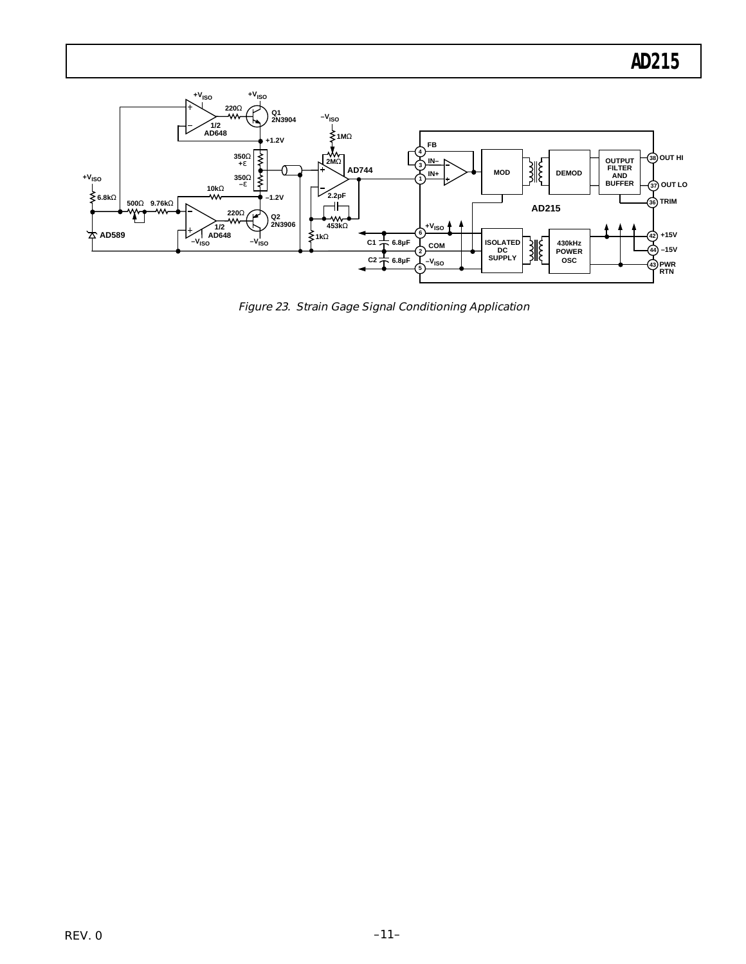

Figure 23. Strain Gage Signal Conditioning Application